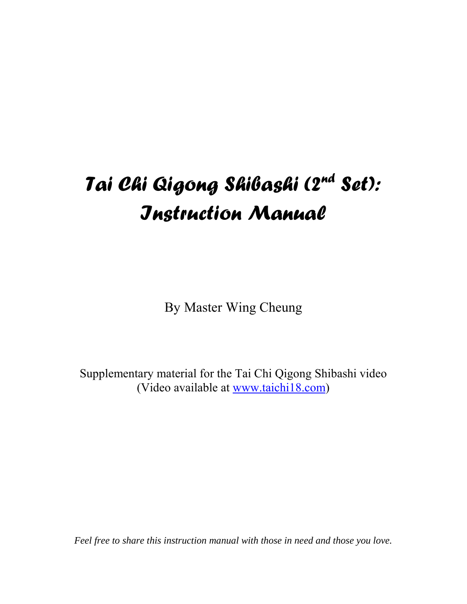# *Tai Chi Qigong Shibashi (2nd Set): Instruction Manual*

By Master Wing Cheung

Supplementary material for the Tai Chi Qigong Shibashi video (Video available at www.taichi18.com)

*Feel free to share this instruction manual with those in need and those you love.*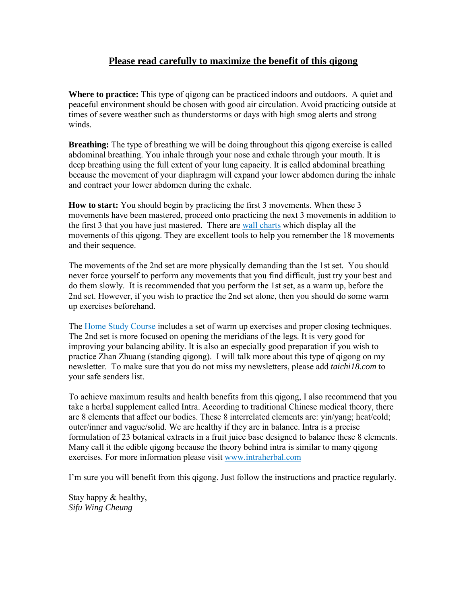## **Please read carefully to maximize the benefit of this qigong**

**Where to practice:** This type of qigong can be practiced indoors and outdoors. A quiet and peaceful environment should be chosen with good air circulation. Avoid practicing outside at times of severe weather such as thunderstorms or days with high smog alerts and strong winds.

**Breathing:** The type of breathing we will be doing throughout this gigong exercise is called abdominal breathing. You inhale through your nose and exhale through your mouth. It is deep breathing using the full extent of your lung capacity. It is called abdominal breathing because the movement of your diaphragm will expand your lower abdomen during the inhale and contract your lower abdomen during the exhale.

**How to start:** You should begin by practicing the first 3 movements. When these 3 movements have been mastered, proceed onto practicing the next 3 movements in addition to the first 3 that you have just mastered. There are [wall charts](http://www.taichi18.com/shibashi2.htm#charts) which display all the movements of this qigong. They are excellent tools to help you remember the 18 movements and their sequence.

The movements of the 2nd set are more physically demanding than the 1st set. You should never force yourself to perform any movements that you find difficult, just try your best and do them slowly. It is recommended that you perform the 1st set, as a warm up, before the 2nd set. However, if you wish to practice the 2nd set alone, then you should do some warm up exercises beforehand.

The [Home Study Course](http://www.taichi18.com/shibashi2.htm) includes a set of warm up exercises and proper closing techniques. The 2nd set is more focused on opening the meridians of the legs. It is very good for improving your balancing ability. It is also an especially good preparation if you wish to practice Zhan Zhuang (standing qigong). I will talk more about this type of qigong on my newsletter. To make sure that you do not miss my newsletters, please add *taichi18.com* to your safe senders list.

To achieve maximum results and health benefits from this qigong, I also recommend that you take a herbal supplement called Intra. According to traditional Chinese medical theory, there are 8 elements that affect our bodies. These 8 interrelated elements are: yin/yang; heat/cold; outer/inner and vague/solid. We are healthy if they are in balance. Intra is a precise formulation of 23 botanical extracts in a fruit juice base designed to balance these 8 elements. Many call it the edible qigong because the theory behind intra is similar to many qigong exercises. For more information please visit [www.intraherbal.com](http://www.intraherbal.com/) 

I'm sure you will benefit from this qigong. Just follow the instructions and practice regularly.

Stay happy & healthy, *Sifu Wing Cheung*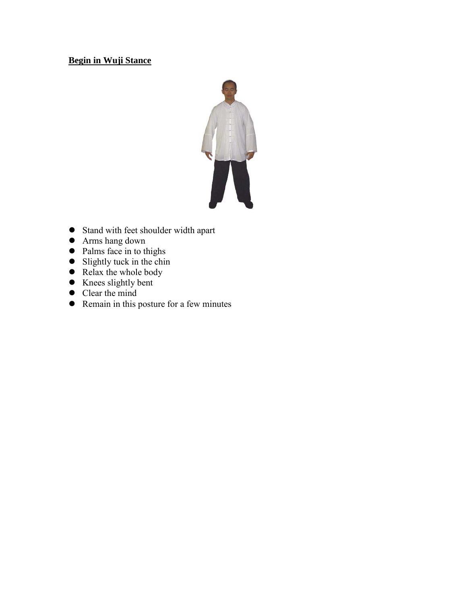# **Begin in Wuji Stance**



- Stand with feet shoulder width apart
- Arms hang down
- Palms face in to thighs
- $\bullet$  Slightly tuck in the chin
- $\bullet$  Relax the whole body
- Knees slightly bent
- Clear the mind
- Remain in this posture for a few minutes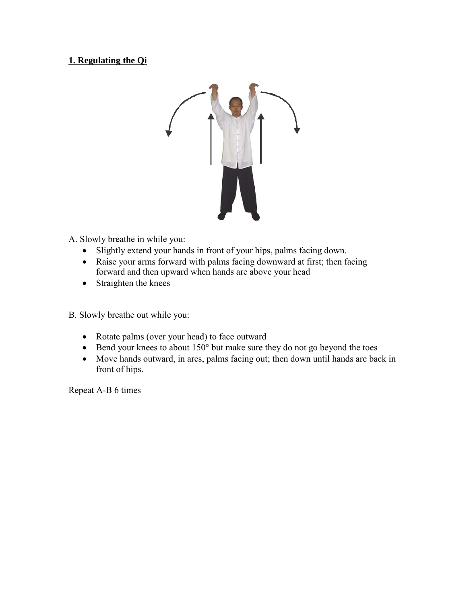# **1. Regulating the Qi**



- A. Slowly breathe in while you:
	- Slightly extend your hands in front of your hips, palms facing down.
	- Raise your arms forward with palms facing downward at first; then facing forward and then upward when hands are above your head
	- Straighten the knees

B. Slowly breathe out while you:

- Rotate palms (over your head) to face outward
- Bend your knees to about 150° but make sure they do not go beyond the toes
- Move hands outward, in arcs, palms facing out; then down until hands are back in front of hips.

Repeat A-B 6 times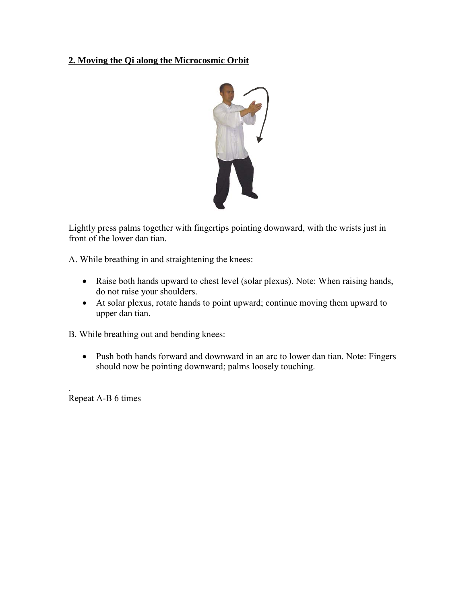# **2. Moving the Qi along the Microcosmic Orbit**



Lightly press palms together with fingertips pointing downward, with the wrists just in front of the lower dan tian.

A. While breathing in and straightening the knees:

- Raise both hands upward to chest level (solar plexus). Note: When raising hands, do not raise your shoulders.
- At solar plexus, rotate hands to point upward; continue moving them upward to upper dan tian.

B. While breathing out and bending knees:

• Push both hands forward and downward in an arc to lower dan tian. Note: Fingers should now be pointing downward; palms loosely touching.

Repeat A-B 6 times

.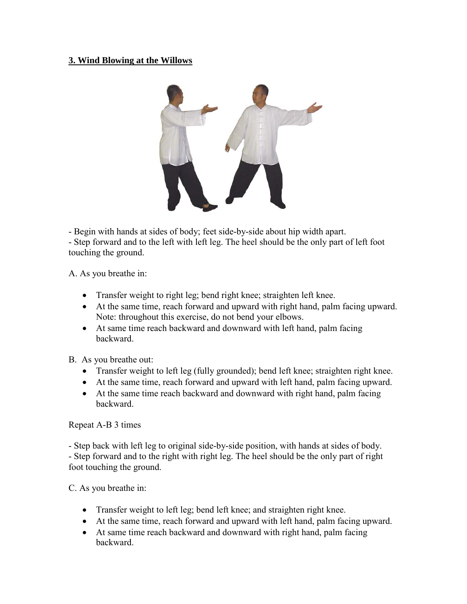## **3. Wind Blowing at the Willows**



- Begin with hands at sides of body; feet side-by-side about hip width apart. - Step forward and to the left with left leg. The heel should be the only part of left foot touching the ground.

A. As you breathe in:

- Transfer weight to right leg; bend right knee; straighten left knee.
- At the same time, reach forward and upward with right hand, palm facing upward. Note: throughout this exercise, do not bend your elbows.
- At same time reach backward and downward with left hand, palm facing backward.

B. As you breathe out:

- Transfer weight to left leg (fully grounded); bend left knee; straighten right knee.
- At the same time, reach forward and upward with left hand, palm facing upward.
- At the same time reach backward and downward with right hand, palm facing backward.

Repeat A-B 3 times

- Step back with left leg to original side-by-side position, with hands at sides of body. - Step forward and to the right with right leg. The heel should be the only part of right foot touching the ground.

C. As you breathe in:

- Transfer weight to left leg; bend left knee; and straighten right knee.
- At the same time, reach forward and upward with left hand, palm facing upward.
- At same time reach backward and downward with right hand, palm facing backward.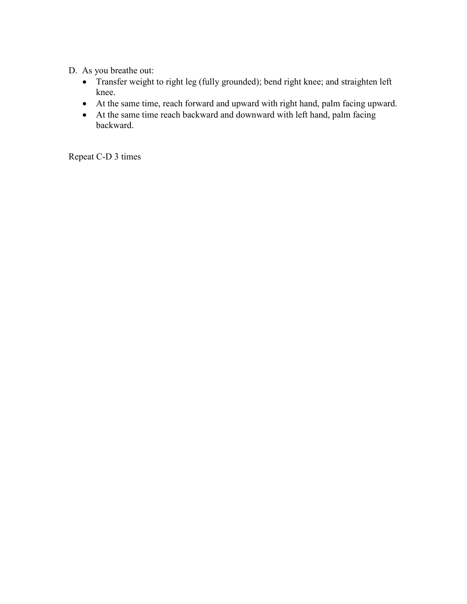- D. As you breathe out:
	- Transfer weight to right leg (fully grounded); bend right knee; and straighten left knee.
	- At the same time, reach forward and upward with right hand, palm facing upward.
	- At the same time reach backward and downward with left hand, palm facing backward.

Repeat C-D 3 times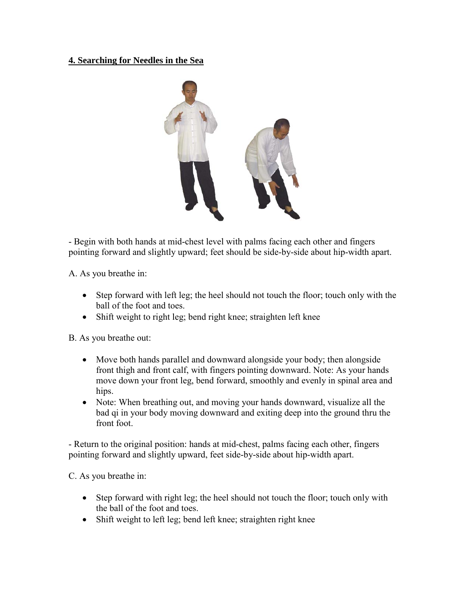## **4. Searching for Needles in the Sea**



- Begin with both hands at mid-chest level with palms facing each other and fingers pointing forward and slightly upward; feet should be side-by-side about hip-width apart.

A. As you breathe in:

- Step forward with left leg; the heel should not touch the floor; touch only with the ball of the foot and toes.
- Shift weight to right leg; bend right knee; straighten left knee

B. As you breathe out:

- Move both hands parallel and downward alongside your body; then alongside front thigh and front calf, with fingers pointing downward. Note: As your hands move down your front leg, bend forward, smoothly and evenly in spinal area and hips.
- Note: When breathing out, and moving your hands downward, visualize all the bad qi in your body moving downward and exiting deep into the ground thru the front foot.

- Return to the original position: hands at mid-chest, palms facing each other, fingers pointing forward and slightly upward, feet side-by-side about hip-width apart.

C. As you breathe in:

- Step forward with right leg; the heel should not touch the floor; touch only with the ball of the foot and toes.
- Shift weight to left leg; bend left knee; straighten right knee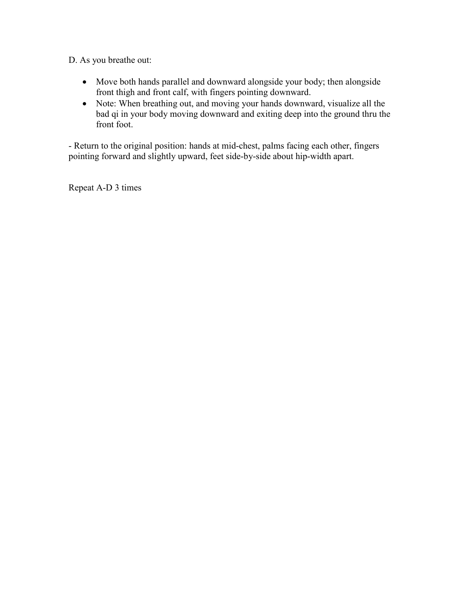D. As you breathe out:

- Move both hands parallel and downward alongside your body; then alongside front thigh and front calf, with fingers pointing downward.
- Note: When breathing out, and moving your hands downward, visualize all the bad qi in your body moving downward and exiting deep into the ground thru the front foot.

- Return to the original position: hands at mid-chest, palms facing each other, fingers pointing forward and slightly upward, feet side-by-side about hip-width apart.

Repeat A-D 3 times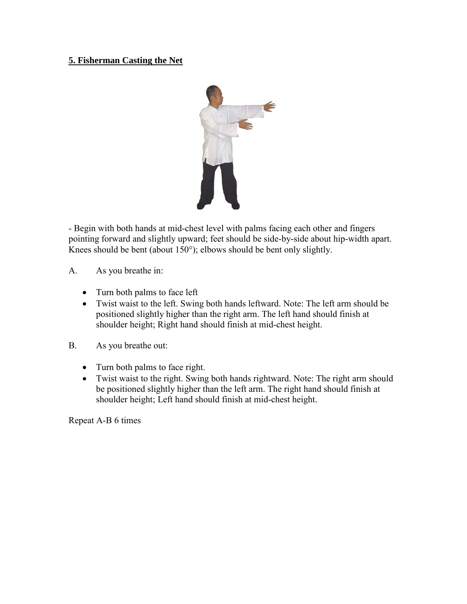# **5. Fisherman Casting the Net**



- Begin with both hands at mid-chest level with palms facing each other and fingers pointing forward and slightly upward; feet should be side-by-side about hip-width apart. Knees should be bent (about 150°); elbows should be bent only slightly.

- A. As you breathe in:
	- Turn both palms to face left
	- Twist waist to the left. Swing both hands leftward. Note: The left arm should be positioned slightly higher than the right arm. The left hand should finish at shoulder height; Right hand should finish at mid-chest height.
- B. As you breathe out:
	- Turn both palms to face right.
	- Twist waist to the right. Swing both hands rightward. Note: The right arm should be positioned slightly higher than the left arm. The right hand should finish at shoulder height; Left hand should finish at mid-chest height.

Repeat A-B 6 times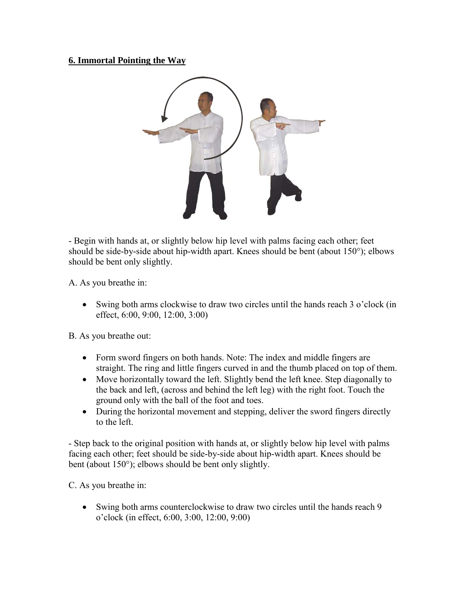## **6. Immortal Pointing the Way**



- Begin with hands at, or slightly below hip level with palms facing each other; feet should be side-by-side about hip-width apart. Knees should be bent (about 150°); elbows should be bent only slightly.

A. As you breathe in:

• Swing both arms clockwise to draw two circles until the hands reach 3 o'clock (in effect, 6:00, 9:00, 12:00, 3:00)

B. As you breathe out:

- Form sword fingers on both hands. Note: The index and middle fingers are straight. The ring and little fingers curved in and the thumb placed on top of them.
- Move horizontally toward the left. Slightly bend the left knee. Step diagonally to the back and left, (across and behind the left leg) with the right foot. Touch the ground only with the ball of the foot and toes.
- During the horizontal movement and stepping, deliver the sword fingers directly to the left.

- Step back to the original position with hands at, or slightly below hip level with palms facing each other; feet should be side-by-side about hip-width apart. Knees should be bent (about 150°); elbows should be bent only slightly.

C. As you breathe in:

• Swing both arms counterclockwise to draw two circles until the hands reach 9 o'clock (in effect, 6:00, 3:00, 12:00, 9:00)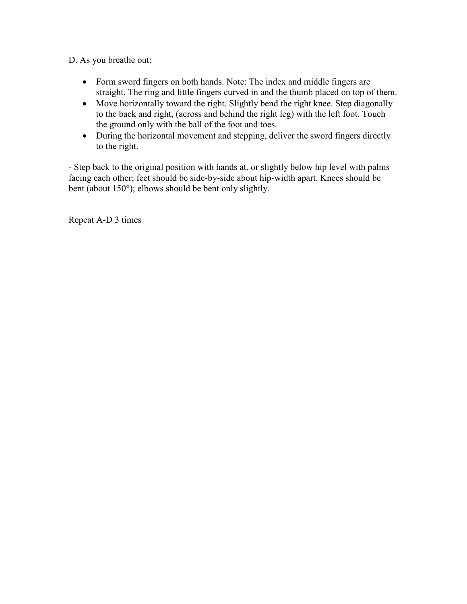D. As you breathe out:

- Form sword fingers on both hands. Note: The index and middle fingers are straight. The ring and little fingers curved in and the thumb placed on top of them.
- Move horizontally toward the right. Slightly bend the right knee. Step diagonally to the back and right, (across and behind the right leg) with the left foot. Touch the ground only with the ball of the foot and toes.
- During the horizontal movement and stepping, deliver the sword fingers directly to the right.

- Step back to the original position with hands at, or slightly below hip level with palms facing each other; feet should be side-by-side about hip-width apart. Knees should be bent (about 150°); elbows should be bent only slightly.

Repeat A-D 3 times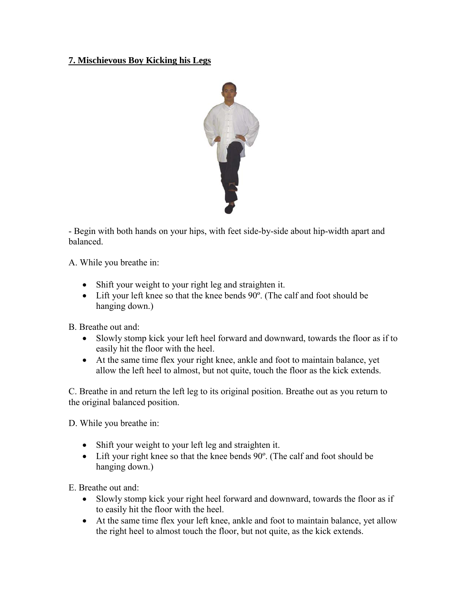# **7. Mischievous Boy Kicking his Legs**



- Begin with both hands on your hips, with feet side-by-side about hip-width apart and balanced.

A. While you breathe in:

- Shift your weight to your right leg and straighten it.
- Lift your left knee so that the knee bends 90°. (The calf and foot should be hanging down.)

B. Breathe out and:

- Slowly stomp kick your left heel forward and downward, towards the floor as if to easily hit the floor with the heel.
- At the same time flex your right knee, ankle and foot to maintain balance, yet allow the left heel to almost, but not quite, touch the floor as the kick extends.

C. Breathe in and return the left leg to its original position. Breathe out as you return to the original balanced position.

D. While you breathe in:

- Shift your weight to your left leg and straighten it.
- Lift your right knee so that the knee bends 90°. (The calf and foot should be hanging down.)

E. Breathe out and:

- Slowly stomp kick your right heel forward and downward, towards the floor as if to easily hit the floor with the heel.
- At the same time flex your left knee, ankle and foot to maintain balance, yet allow the right heel to almost touch the floor, but not quite, as the kick extends.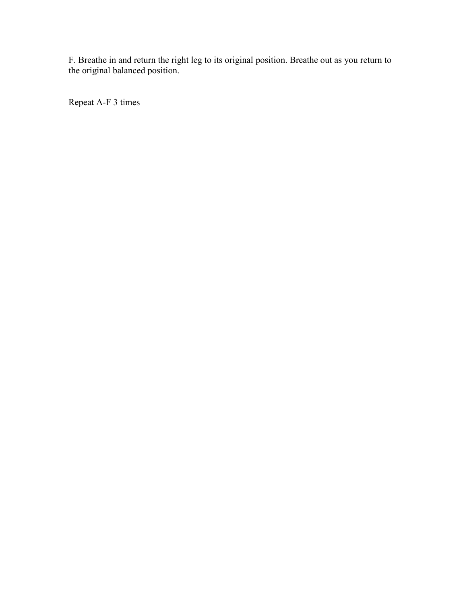F. Breathe in and return the right leg to its original position. Breathe out as you return to the original balanced position.

Repeat A-F 3 times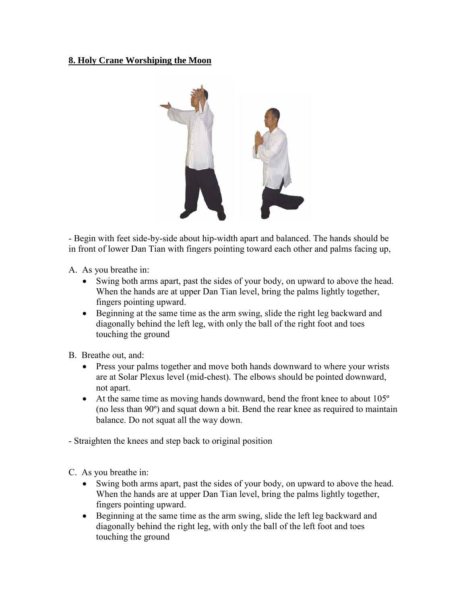## **8. Holy Crane Worshiping the Moon**



- Begin with feet side-by-side about hip-width apart and balanced. The hands should be in front of lower Dan Tian with fingers pointing toward each other and palms facing up,

A. As you breathe in:

- Swing both arms apart, past the sides of your body, on upward to above the head. When the hands are at upper Dan Tian level, bring the palms lightly together, fingers pointing upward.
- Beginning at the same time as the arm swing, slide the right leg backward and diagonally behind the left leg, with only the ball of the right foot and toes touching the ground

B. Breathe out, and:

- Press your palms together and move both hands downward to where your wrists are at Solar Plexus level (mid-chest). The elbows should be pointed downward, not apart.
- At the same time as moving hands downward, bend the front knee to about 105<sup>°</sup> (no less than 90º) and squat down a bit. Bend the rear knee as required to maintain balance. Do not squat all the way down.

- Straighten the knees and step back to original position

C. As you breathe in:

- Swing both arms apart, past the sides of your body, on upward to above the head. When the hands are at upper Dan Tian level, bring the palms lightly together, fingers pointing upward.
- Beginning at the same time as the arm swing, slide the left leg backward and diagonally behind the right leg, with only the ball of the left foot and toes touching the ground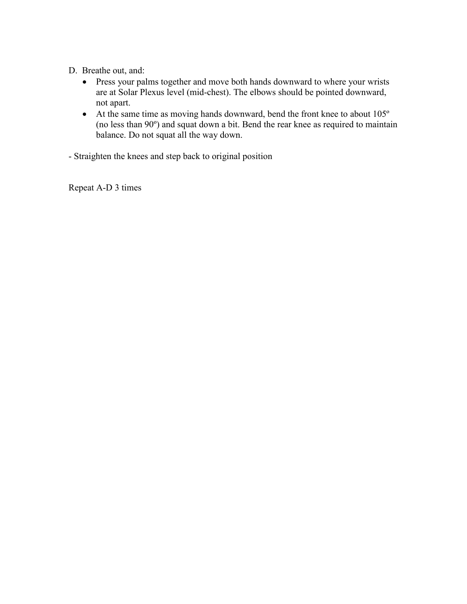- D. Breathe out, and:
	- Press your palms together and move both hands downward to where your wrists are at Solar Plexus level (mid-chest). The elbows should be pointed downward, not apart.
	- At the same time as moving hands downward, bend the front knee to about 105<sup>°</sup> (no less than 90º) and squat down a bit. Bend the rear knee as required to maintain balance. Do not squat all the way down.

- Straighten the knees and step back to original position

Repeat A-D 3 times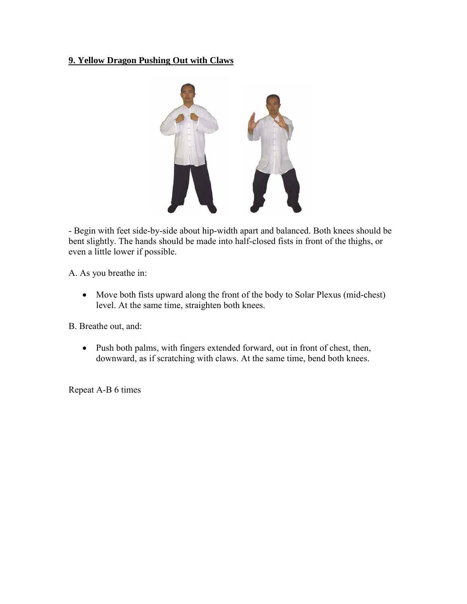## **9. Yellow Dragon Pushing Out with Claws**



- Begin with feet side-by-side about hip-width apart and balanced. Both knees should be bent slightly. The hands should be made into half-closed fists in front of the thighs, or even a little lower if possible.

A. As you breathe in:

• Move both fists upward along the front of the body to Solar Plexus (mid-chest) level. At the same time, straighten both knees.

B. Breathe out, and:

• Push both palms, with fingers extended forward, out in front of chest, then, downward, as if scratching with claws. At the same time, bend both knees.

Repeat A-B 6 times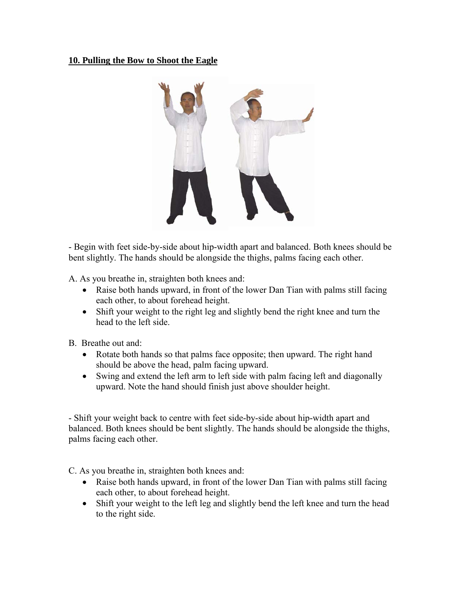#### **10. Pulling the Bow to Shoot the Eagle**



- Begin with feet side-by-side about hip-width apart and balanced. Both knees should be bent slightly. The hands should be alongside the thighs, palms facing each other.

A. As you breathe in, straighten both knees and:

- Raise both hands upward, in front of the lower Dan Tian with palms still facing each other, to about forehead height.
- Shift your weight to the right leg and slightly bend the right knee and turn the head to the left side.
- B. Breathe out and:
	- Rotate both hands so that palms face opposite; then upward. The right hand should be above the head, palm facing upward.
	- Swing and extend the left arm to left side with palm facing left and diagonally upward. Note the hand should finish just above shoulder height.

- Shift your weight back to centre with feet side-by-side about hip-width apart and balanced. Both knees should be bent slightly. The hands should be alongside the thighs, palms facing each other.

C. As you breathe in, straighten both knees and:

- Raise both hands upward, in front of the lower Dan Tian with palms still facing each other, to about forehead height.
- Shift your weight to the left leg and slightly bend the left knee and turn the head to the right side.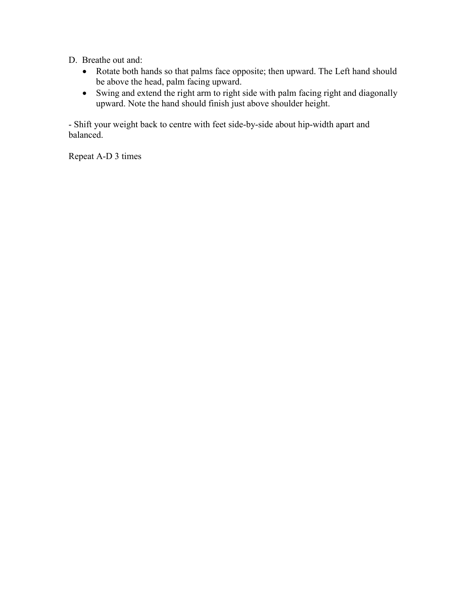- D. Breathe out and:
	- Rotate both hands so that palms face opposite; then upward. The Left hand should be above the head, palm facing upward.
	- Swing and extend the right arm to right side with palm facing right and diagonally upward. Note the hand should finish just above shoulder height.

- Shift your weight back to centre with feet side-by-side about hip-width apart and balanced.

Repeat A-D 3 times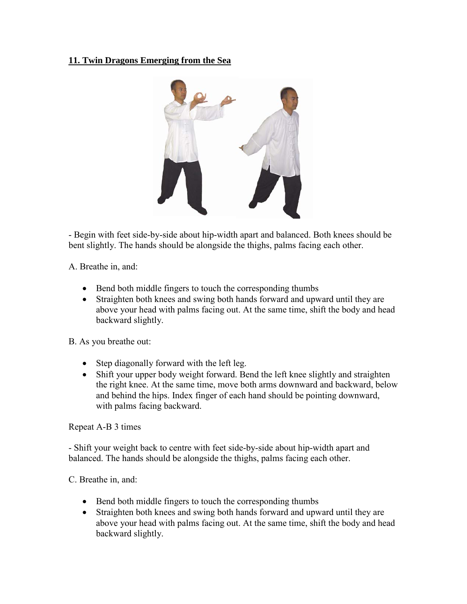# **11. Twin Dragons Emerging from the Sea**



- Begin with feet side-by-side about hip-width apart and balanced. Both knees should be bent slightly. The hands should be alongside the thighs, palms facing each other.

A. Breathe in, and:

- Bend both middle fingers to touch the corresponding thumbs
- Straighten both knees and swing both hands forward and upward until they are above your head with palms facing out. At the same time, shift the body and head backward slightly.

B. As you breathe out:

- Step diagonally forward with the left leg.
- Shift your upper body weight forward. Bend the left knee slightly and straighten the right knee. At the same time, move both arms downward and backward, below and behind the hips. Index finger of each hand should be pointing downward, with palms facing backward.

Repeat A-B 3 times

- Shift your weight back to centre with feet side-by-side about hip-width apart and balanced. The hands should be alongside the thighs, palms facing each other.

C. Breathe in, and:

- Bend both middle fingers to touch the corresponding thumbs
- Straighten both knees and swing both hands forward and upward until they are above your head with palms facing out. At the same time, shift the body and head backward slightly.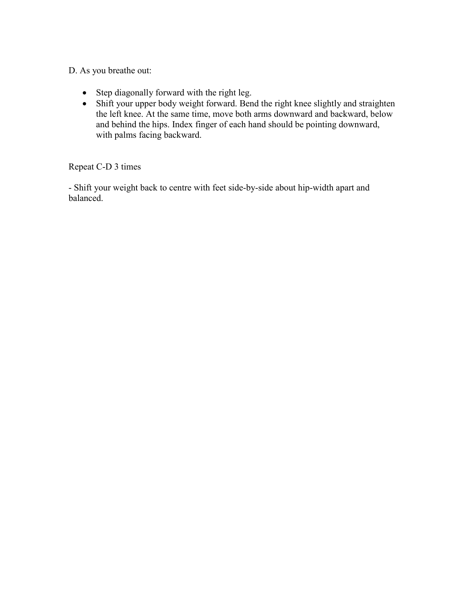D. As you breathe out:

- Step diagonally forward with the right leg.
- Shift your upper body weight forward. Bend the right knee slightly and straighten the left knee. At the same time, move both arms downward and backward, below and behind the hips. Index finger of each hand should be pointing downward, with palms facing backward.

Repeat C-D 3 times

- Shift your weight back to centre with feet side-by-side about hip-width apart and balanced.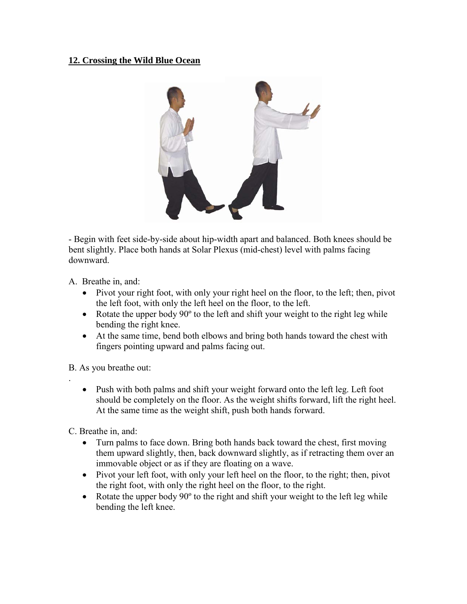## **12. Crossing the Wild Blue Ocean**



- Begin with feet side-by-side about hip-width apart and balanced. Both knees should be bent slightly. Place both hands at Solar Plexus (mid-chest) level with palms facing downward.

A. Breathe in, and:

- Pivot your right foot, with only your right heel on the floor, to the left; then, pivot the left foot, with only the left heel on the floor, to the left.
- Rotate the upper body 90° to the left and shift your weight to the right leg while bending the right knee.
- At the same time, bend both elbows and bring both hands toward the chest with fingers pointing upward and palms facing out.

B. As you breathe out:

.

• Push with both palms and shift your weight forward onto the left leg. Left foot should be completely on the floor. As the weight shifts forward, lift the right heel. At the same time as the weight shift, push both hands forward.

C. Breathe in, and:

- Turn palms to face down. Bring both hands back toward the chest, first moving them upward slightly, then, back downward slightly, as if retracting them over an immovable object or as if they are floating on a wave.
- Pivot your left foot, with only your left heel on the floor, to the right; then, pivot the right foot, with only the right heel on the floor, to the right.
- Rotate the upper body 90<sup>°</sup> to the right and shift your weight to the left leg while bending the left knee.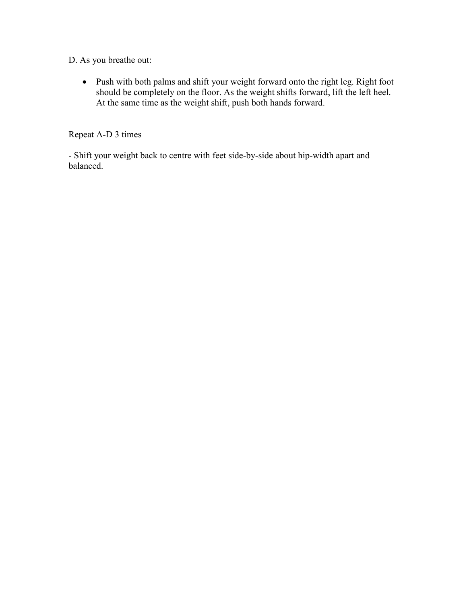D. As you breathe out:

• Push with both palms and shift your weight forward onto the right leg. Right foot should be completely on the floor. As the weight shifts forward, lift the left heel. At the same time as the weight shift, push both hands forward.

Repeat A-D 3 times

- Shift your weight back to centre with feet side-by-side about hip-width apart and balanced.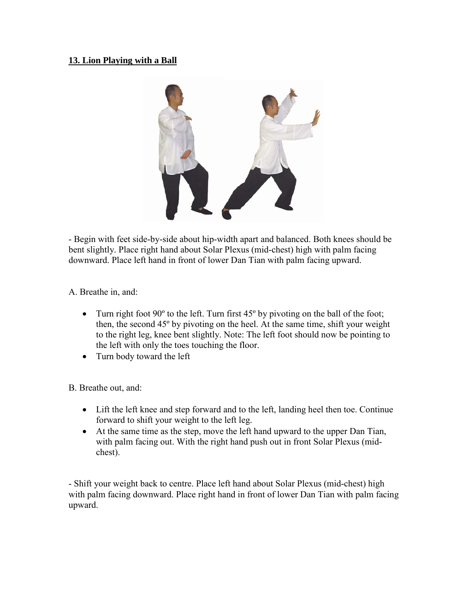## **13. Lion Playing with a Ball**



- Begin with feet side-by-side about hip-width apart and balanced. Both knees should be bent slightly. Place right hand about Solar Plexus (mid-chest) high with palm facing downward. Place left hand in front of lower Dan Tian with palm facing upward.

A. Breathe in, and:

- Turn right foot  $90^\circ$  to the left. Turn first  $45^\circ$  by pivoting on the ball of the foot; then, the second 45º by pivoting on the heel. At the same time, shift your weight to the right leg, knee bent slightly. Note: The left foot should now be pointing to the left with only the toes touching the floor.
- Turn body toward the left

B. Breathe out, and:

- Lift the left knee and step forward and to the left, landing heel then toe. Continue forward to shift your weight to the left leg.
- At the same time as the step, move the left hand upward to the upper Dan Tian, with palm facing out. With the right hand push out in front Solar Plexus (midchest).

- Shift your weight back to centre. Place left hand about Solar Plexus (mid-chest) high with palm facing downward. Place right hand in front of lower Dan Tian with palm facing upward.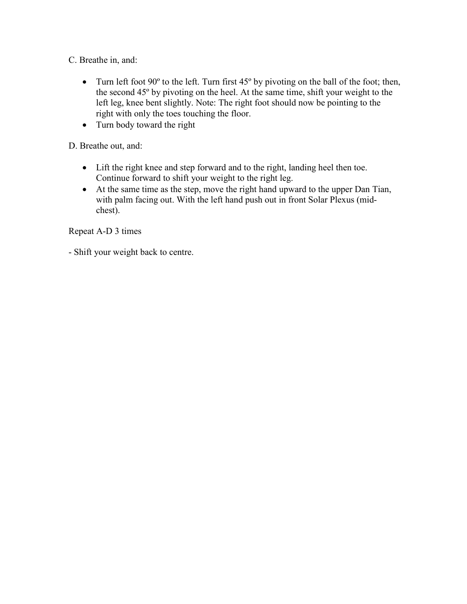C. Breathe in, and:

- Turn left foot  $90^\circ$  to the left. Turn first  $45^\circ$  by pivoting on the ball of the foot; then, the second 45º by pivoting on the heel. At the same time, shift your weight to the left leg, knee bent slightly. Note: The right foot should now be pointing to the right with only the toes touching the floor.
- Turn body toward the right

D. Breathe out, and:

- Lift the right knee and step forward and to the right, landing heel then toe. Continue forward to shift your weight to the right leg.
- At the same time as the step, move the right hand upward to the upper Dan Tian, with palm facing out. With the left hand push out in front Solar Plexus (midchest).

Repeat A-D 3 times

- Shift your weight back to centre.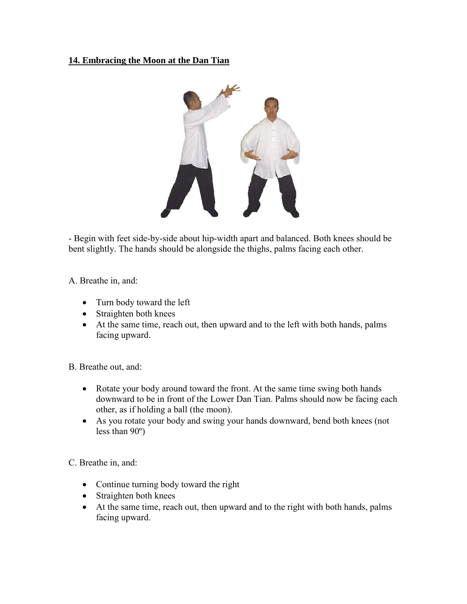## **14. Embracing the Moon at the Dan Tian**



- Begin with feet side-by-side about hip-width apart and balanced. Both knees should be bent slightly. The hands should be alongside the thighs, palms facing each other.

A. Breathe in, and:

- Turn body toward the left
- Straighten both knees
- At the same time, reach out, then upward and to the left with both hands, palms facing upward.

B. Breathe out, and:

- Rotate your body around toward the front. At the same time swing both hands downward to be in front of the Lower Dan Tian. Palms should now be facing each other, as if holding a ball (the moon).
- As you rotate your body and swing your hands downward, bend both knees (not less than 90º)

C. Breathe in, and:

- Continue turning body toward the right
- Straighten both knees
- At the same time, reach out, then upward and to the right with both hands, palms facing upward.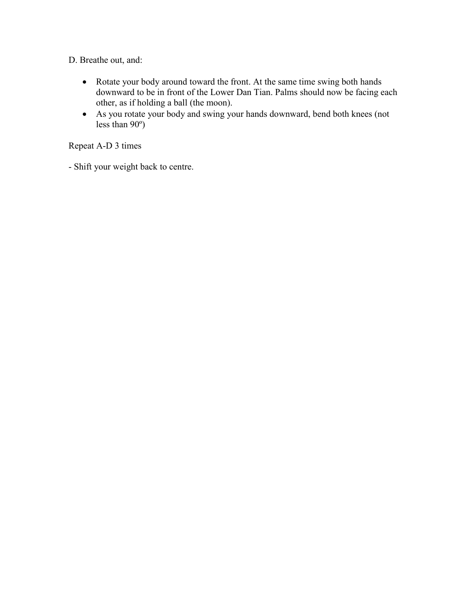D. Breathe out, and:

- Rotate your body around toward the front. At the same time swing both hands downward to be in front of the Lower Dan Tian. Palms should now be facing each other, as if holding a ball (the moon).
- As you rotate your body and swing your hands downward, bend both knees (not less than 90º)

Repeat A-D 3 times

- Shift your weight back to centre.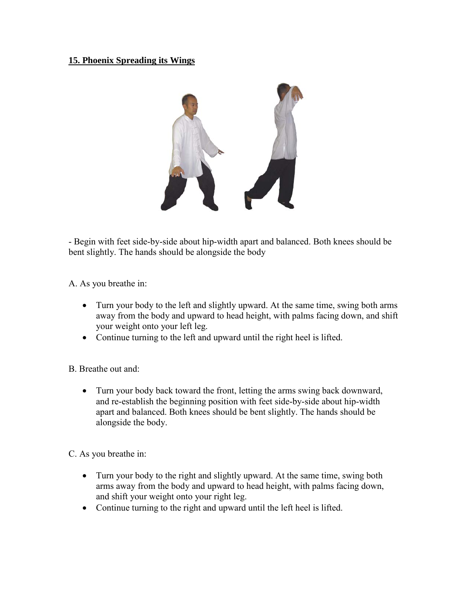## **15. Phoenix Spreading its Wings**



- Begin with feet side-by-side about hip-width apart and balanced. Both knees should be bent slightly. The hands should be alongside the body

A. As you breathe in:

- Turn your body to the left and slightly upward. At the same time, swing both arms away from the body and upward to head height, with palms facing down, and shift your weight onto your left leg.
- Continue turning to the left and upward until the right heel is lifted.

B. Breathe out and:

• Turn your body back toward the front, letting the arms swing back downward, and re-establish the beginning position with feet side-by-side about hip-width apart and balanced. Both knees should be bent slightly. The hands should be alongside the body.

C. As you breathe in:

- Turn your body to the right and slightly upward. At the same time, swing both arms away from the body and upward to head height, with palms facing down, and shift your weight onto your right leg.
- Continue turning to the right and upward until the left heel is lifted.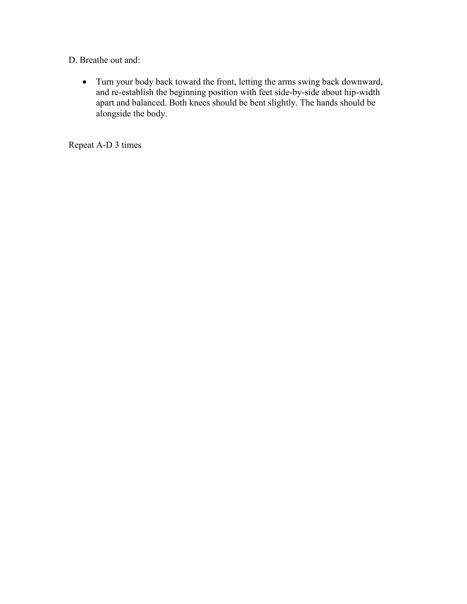D. Breathe out and:

• Turn your body back toward the front, letting the arms swing back downward, and re-establish the beginning position with feet side-by-side about hip-width apart and balanced. Both knees should be bent slightly. The hands should be alongside the body.

Repeat A-D 3 times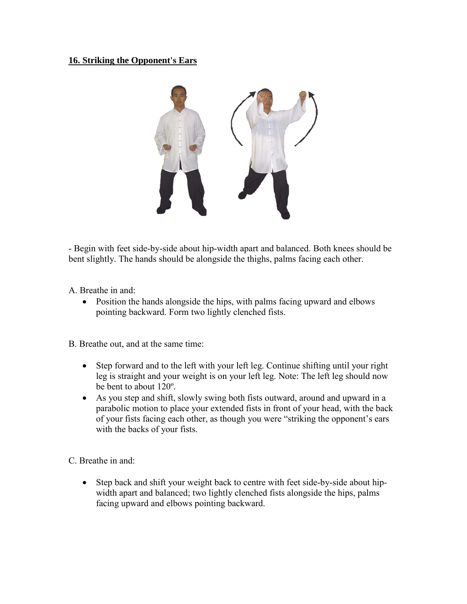#### **16. Striking the Opponent's Ears**



- Begin with feet side-by-side about hip-width apart and balanced. Both knees should be bent slightly. The hands should be alongside the thighs, palms facing each other.

A. Breathe in and:

• Position the hands alongside the hips, with palms facing upward and elbows pointing backward. Form two lightly clenched fists.

B. Breathe out, and at the same time:

- Step forward and to the left with your left leg. Continue shifting until your right leg is straight and your weight is on your left leg. Note: The left leg should now be bent to about 120º.
- As you step and shift, slowly swing both fists outward, around and upward in a parabolic motion to place your extended fists in front of your head, with the back of your fists facing each other, as though you were "striking the opponent's ears with the backs of your fists.

C. Breathe in and:

• Step back and shift your weight back to centre with feet side-by-side about hipwidth apart and balanced; two lightly clenched fists alongside the hips, palms facing upward and elbows pointing backward.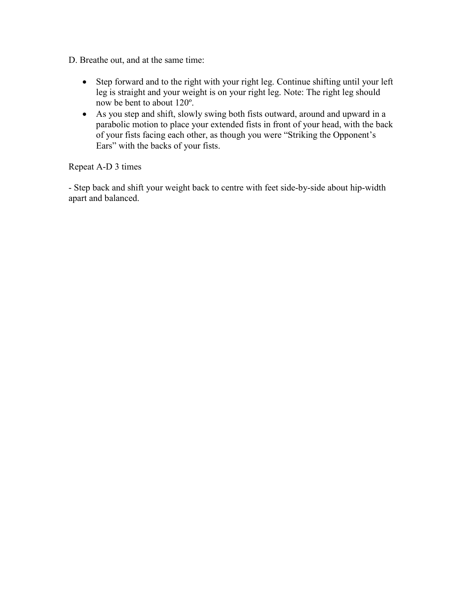- D. Breathe out, and at the same time:
	- Step forward and to the right with your right leg. Continue shifting until your left leg is straight and your weight is on your right leg. Note: The right leg should now be bent to about 120º.
	- As you step and shift, slowly swing both fists outward, around and upward in a parabolic motion to place your extended fists in front of your head, with the back of your fists facing each other, as though you were "Striking the Opponent's Ears" with the backs of your fists.

Repeat A-D 3 times

- Step back and shift your weight back to centre with feet side-by-side about hip-width apart and balanced.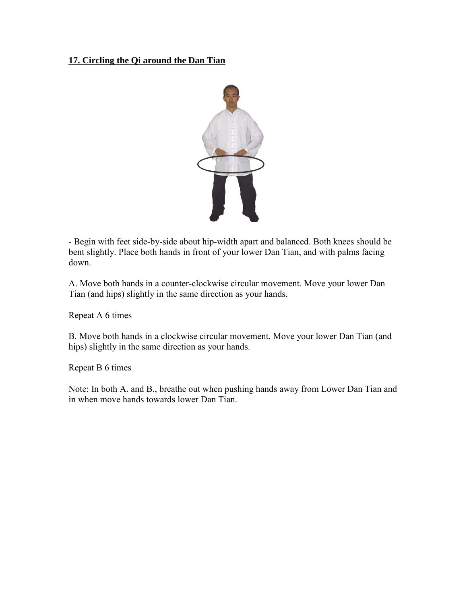## **17. Circling the Qi around the Dan Tian**



- Begin with feet side-by-side about hip-width apart and balanced. Both knees should be bent slightly. Place both hands in front of your lower Dan Tian, and with palms facing down.

A. Move both hands in a counter-clockwise circular movement. Move your lower Dan Tian (and hips) slightly in the same direction as your hands.

Repeat A 6 times

B. Move both hands in a clockwise circular movement. Move your lower Dan Tian (and hips) slightly in the same direction as your hands.

Repeat B 6 times

Note: In both A. and B., breathe out when pushing hands away from Lower Dan Tian and in when move hands towards lower Dan Tian.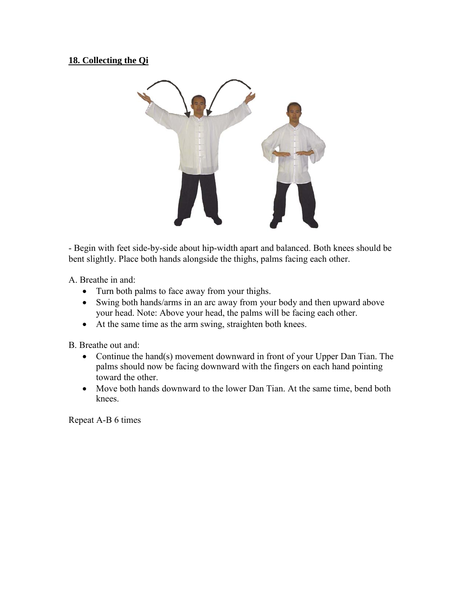# **18. Collecting the Qi**



- Begin with feet side-by-side about hip-width apart and balanced. Both knees should be bent slightly. Place both hands alongside the thighs, palms facing each other.

A. Breathe in and:

- Turn both palms to face away from your thighs.
- Swing both hands/arms in an arc away from your body and then upward above your head. Note: Above your head, the palms will be facing each other.
- At the same time as the arm swing, straighten both knees.

B. Breathe out and:

- Continue the hand(s) movement downward in front of your Upper Dan Tian. The palms should now be facing downward with the fingers on each hand pointing toward the other.
- Move both hands downward to the lower Dan Tian. At the same time, bend both knees.

Repeat A-B 6 times